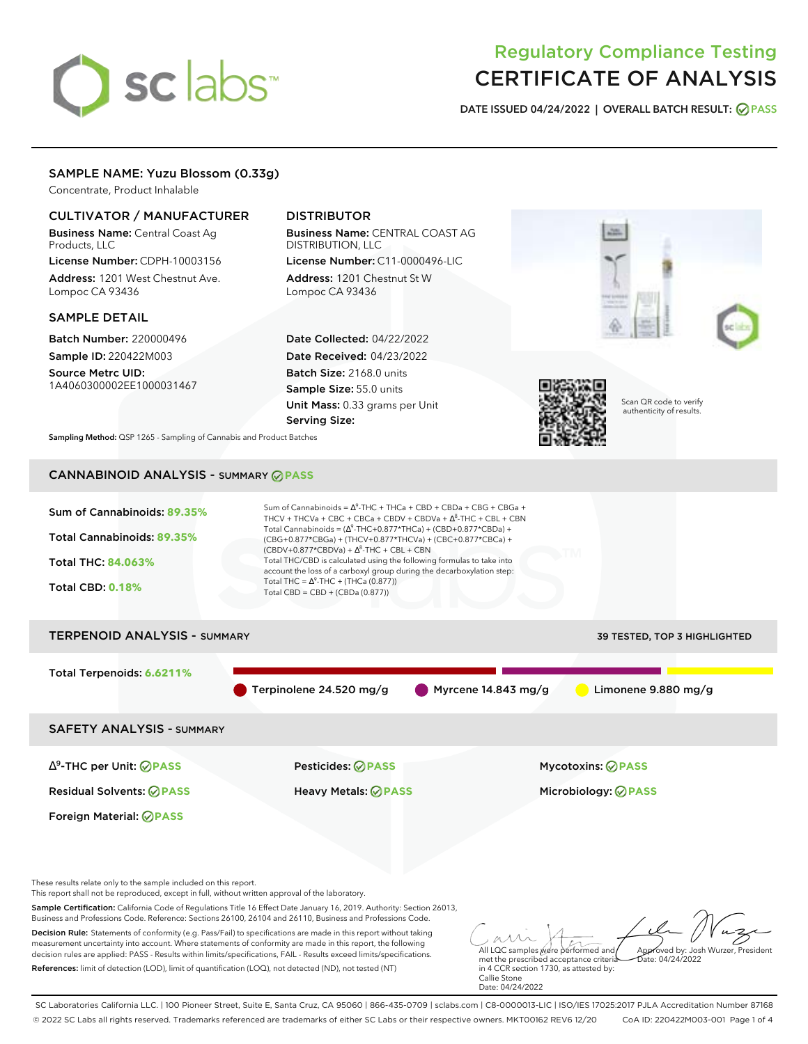# sclabs<sup>\*</sup>

# Regulatory Compliance Testing CERTIFICATE OF ANALYSIS

**DATE ISSUED 04/24/2022 | OVERALL BATCH RESULT: PASS**

# SAMPLE NAME: Yuzu Blossom (0.33g)

Concentrate, Product Inhalable

# CULTIVATOR / MANUFACTURER

Business Name: Central Coast Ag Products, LLC

License Number: CDPH-10003156 Address: 1201 West Chestnut Ave. Lompoc CA 93436

# SAMPLE DETAIL

Batch Number: 220000496 Sample ID: 220422M003

Source Metrc UID: 1A4060300002EE1000031467

# DISTRIBUTOR

Business Name: CENTRAL COAST AG DISTRIBUTION, LLC License Number: C11-0000496-LIC

Address: 1201 Chestnut St W Lompoc CA 93436

Date Collected: 04/22/2022 Date Received: 04/23/2022 Batch Size: 2168.0 units Sample Size: 55.0 units Unit Mass: 0.33 grams per Unit Serving Size:



Scan QR code to verify authenticity of results.

**Sampling Method:** QSP 1265 - Sampling of Cannabis and Product Batches

# CANNABINOID ANALYSIS - SUMMARY **PASS**

| Sum of Cannabinoids: 89.35% | Sum of Cannabinoids = $\Delta^9$ -THC + THCa + CBD + CBDa + CBG + CBGa +<br>THCV + THCVa + CBC + CBCa + CBDV + CBDVa + $\Delta^8$ -THC + CBL + CBN                                       |
|-----------------------------|------------------------------------------------------------------------------------------------------------------------------------------------------------------------------------------|
| Total Cannabinoids: 89.35%  | Total Cannabinoids = $(\Delta^9$ -THC+0.877*THCa) + (CBD+0.877*CBDa) +<br>(CBG+0.877*CBGa) + (THCV+0.877*THCVa) + (CBC+0.877*CBCa) +<br>$(CBDV+0.877*CBDVa) + \Delta^8$ -THC + CBL + CBN |
| <b>Total THC: 84.063%</b>   | Total THC/CBD is calculated using the following formulas to take into<br>account the loss of a carboxyl group during the decarboxylation step:                                           |
| <b>Total CBD: 0.18%</b>     | Total THC = $\Delta^9$ -THC + (THCa (0.877))<br>Total CBD = $CBD + (CBDa (0.877))$                                                                                                       |
|                             |                                                                                                                                                                                          |

# TERPENOID ANALYSIS - SUMMARY 39 TESTED, TOP 3 HIGHLIGHTED Total Terpenoids: **6.6211%** Terpinolene 24.520 mg/g Myrcene 14.843 mg/g Limonene 9.880 mg/g SAFETY ANALYSIS - SUMMARY

Foreign Material: **PASS**

Residual Solvents: **PASS** Heavy Metals: **PASS** Microbiology: **PASS**

∆ 9 -THC per Unit: **PASS** Pesticides: **PASS** Mycotoxins: **PASS**

These results relate only to the sample included on this report.

This report shall not be reproduced, except in full, without written approval of the laboratory.

Sample Certification: California Code of Regulations Title 16 Effect Date January 16, 2019. Authority: Section 26013, Business and Professions Code. Reference: Sections 26100, 26104 and 26110, Business and Professions Code.

Decision Rule: Statements of conformity (e.g. Pass/Fail) to specifications are made in this report without taking measurement uncertainty into account. Where statements of conformity are made in this report, the following decision rules are applied: PASS - Results within limits/specifications, FAIL - Results exceed limits/specifications. References: limit of detection (LOD), limit of quantification (LOQ), not detected (ND), not tested (NT)

All LQC samples were performed and met the prescribed acceptance criteria Approved by: Josh Wurzer, President  $H_0$ : 04/24/2022

in 4 CCR section 1730, as attested by: Callie Stone Date: 04/24/2022

SC Laboratories California LLC. | 100 Pioneer Street, Suite E, Santa Cruz, CA 95060 | 866-435-0709 | sclabs.com | C8-0000013-LIC | ISO/IES 17025:2017 PJLA Accreditation Number 87168 © 2022 SC Labs all rights reserved. Trademarks referenced are trademarks of either SC Labs or their respective owners. MKT00162 REV6 12/20 CoA ID: 220422M003-001 Page 1 of 4